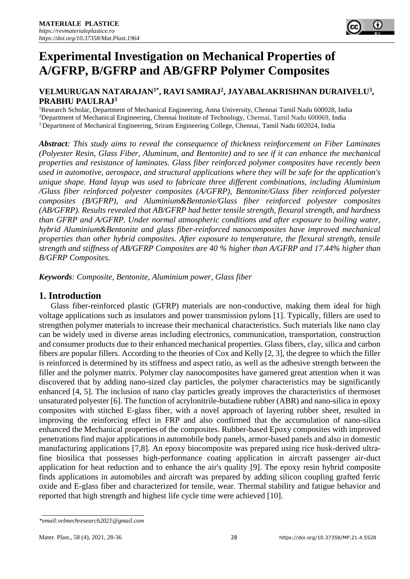## **VELMURUGAN NATARAJAN1\*, RAVI SAMRAJ<sup>2</sup> , JAYABALAKRISHNAN DURAIVELU<sup>3</sup> , PRABHU PAULRAJ<sup>3</sup>**

<sup>1</sup>Research Scholar, Department of Mechanical Engineering, Anna University, Chennai Tamil Nadu 600028, India <sup>2</sup>Department of Mechanical Engineering, Chennai Institute of Technology, Chennai, Tamil Nadu 600069, India <sup>3</sup>Department of Mechanical Engineering, Sriram Engineering College, Chennai, Tamil Nadu 602024, India

*Abstract: This study aims to reveal the consequence of thickness reinforcement on Fiber Laminates (Polyester Resin, Glass Fiber, Aluminum, and Bentonite) and to see if it can enhance the mechanical properties and resistance of laminates. Glass fiber reinforced polymer composites have recently been used in automotive, aerospace, and structural applications where they will be safe for the application's unique shape. Hand layup was used to fabricate three different combinations, including Aluminium /Glass fiber reinforced polyester composites (A/GFRP), Bentonite/Glass fiber reinforced polyester composites (B/GFRP), and Aluminium&Bentonie/Glass fiber reinforced polyester composites (AB/GFRP). Results revealed that AB/GFRP had better tensile strength, flexural strength, and hardness than GFRP and A/GFRP. Under normal atmospheric conditions and after exposure to boiling water, hybrid Aluminium&Bentonite and glass fiber-reinforced nanocomposites have improved mechanical properties than other hybrid composites. After exposure to temperature, the flexural strength, tensile strength and stiffness of AB/GFRP Composites are 40 % higher than A/GFRP and 17.44% higher than B/GFRP Composites.*

*Keywords: Composite, Bentonite, Aluminium power, Glass fiber*

# **1. Introduction**

Glass fiber-reinforced plastic (GFRP) materials are non-conductive, making them ideal for high voltage applications such as insulators and power transmission pylons [1]. Typically, fillers are used to strengthen polymer materials to increase their mechanical characteristics. Such materials like nano clay can be widely used in diverse areas including electronics, communication, transportation, construction and consumer products due to their enhanced mechanical properties. Glass fibers, clay, silica and carbon fibers are popular fillers. According to the theories of Cox and Kelly [2, 3], the degree to which the filler is reinforced is determined by its stiffness and aspect ratio, as well as the adhesive strength between the filler and the polymer matrix. Polymer clay nanocomposites have garnered great attention when it was discovered that by adding nano-sized clay particles, the polymer characteristics may be significantly enhanced [4, 5]. The inclusion of nano clay particles greatly improves the characteristics of thermoset unsaturated polyester [6]. The function of acrylonitrile-butadiene rubber (ABR) and nano-silica in epoxy composites with stitched E-glass fiber, with a novel approach of layering rubber sheet, resulted in improving the reinforcing effect in FRP and also confirmed that the accumulation of nano-silica enhanced the Mechanical properties of the composites. Rubber-based Epoxy composites with improved penetrations find major applications in automobile body panels, armor-based panels and also in domestic manufacturing applications [7,8]. An epoxy biocomposite was prepared using rice husk-derived ultrafine biosilica that possesses high-performance coating application in aircraft passenger air-duct application for heat reduction and to enhance the air's quality [9]. The epoxy resin hybrid composite finds applications in automobiles and aircraft was prepared by adding silicon coupling grafted ferric oxide and E-glass fiber and characterized for tensile, wear. Thermal stability and fatigue behavior and reported that high strength and highest life cycle time were achieved [10].

*<sup>\*</sup>email[:velmechresearch2021@gmail.com](mailto:velmechresearch2021@gmail.com)*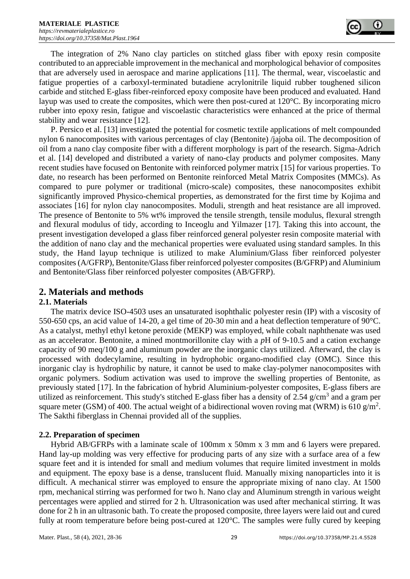

The integration of 2% Nano clay particles on stitched glass fiber with epoxy resin composite contributed to an appreciable improvement in the mechanical and morphological behavior of composites that are adversely used in aerospace and marine applications [11]. The thermal, wear, viscoelastic and fatigue properties of a carboxyl-terminated butadiene acrylonitrile liquid rubber toughened silicon carbide and stitched E-glass fiber-reinforced epoxy composite have been produced and evaluated. Hand layup was used to create the composites, which were then post-cured at 120°C. By incorporating micro rubber into epoxy resin, fatigue and viscoelastic characteristics were enhanced at the price of thermal stability and wear resistance [12].

P. Persico et al. [13] investigated the potential for cosmetic textile applications of melt compounded nylon 6 nanocomposites with various percentages of clay (Bentonite) /jajoba oil. The decomposition of oil from a nano clay composite fiber with a different morphology is part of the research. Sigma-Adrich et al. [14] developed and distributed a variety of nano-clay products and polymer composites. Many recent studies have focused on Bentonite with reinforced polymer matrix [15] for various properties. To date, no research has been performed on Bentonite reinforced Metal Matrix Composites (MMCs). As compared to pure polymer or traditional (micro-scale) composites, these nanocomposites exhibit significantly improved Physico-chemical properties, as demonstrated for the first time by Kojima and associates [16] for nylon clay nanocomposites. Moduli, strength and heat resistance are all improved. The presence of Bentonite to 5% wt% improved the tensile strength, tensile modulus, flexural strength and flexural modulus of tidy, according to Inceoglu and Yilmazer [17]. Taking this into account, the present investigation developed a glass fiber reinforced general polyester resin composite material with the addition of nano clay and the mechanical properties were evaluated using standard samples. In this study, the Hand layup technique is utilized to make Aluminium/Glass fiber reinforced polyester composites (A/GFRP), Bentonite/Glass fiber reinforced polyester composites(B/GFRP) and Aluminium and Bentonite/Glass fiber reinforced polyester composites (AB/GFRP).

# **2. Materials and methods**

## **2.1. Materials**

The matrix device ISO-4503 uses an unsaturated isophthalic polyester resin (IP) with a viscosity of 550-650 cps, an acid value of 14-20, a gel time of 20-30 min and a heat deflection temperature of 90°C. As a catalyst, methyl ethyl ketone peroxide (MEKP) was employed, while cobalt naphthenate was used as an accelerator. Bentonite, a mined montmorillonite clay with a *p*H of 9-10.5 and a cation exchange capacity of 90 meq/100 g and aluminum powder are the inorganic clays utilized. Afterward, the clay is processed with dodecylamine, resulting in hydrophobic organo-modified clay (OMC). Since this inorganic clay is hydrophilic by nature, it cannot be used to make clay-polymer nanocomposites with organic polymers. Sodium activation was used to improve the swelling properties of Bentonite, as previously stated [17]. In the fabrication of hybrid Aluminium-polyester composites, E-glass fibers are utilized as reinforcement. This study's stitched E-glass fiber has a density of 2.54  $g/cm<sup>3</sup>$  and a gram per square meter (GSM) of 400. The actual weight of a bidirectional woven roving mat (WRM) is 610 g/m<sup>2</sup>. The Sakthi fiberglass in Chennai provided all of the supplies.

## **2.2. Preparation of specimen**

Hybrid AB/GFRPs with a laminate scale of 100mm x 50mm x 3 mm and 6 layers were prepared. Hand lay-up molding was very effective for producing parts of any size with a surface area of a few square feet and it is intended for small and medium volumes that require limited investment in molds and equipment. The epoxy base is a dense, translucent fluid. Manually mixing nanoparticles into it is difficult. A mechanical stirrer was employed to ensure the appropriate mixing of nano clay. At 1500 rpm, mechanical stirring was performed for two h. Nano clay and Aluminum strength in various weight percentages were applied and stirred for 2 h. Ultrasonication was used after mechanical stirring. It was done for 2 h in an ultrasonic bath. To create the proposed composite, three layers were laid out and cured fully at room temperature before being post-cured at 120°C. The samples were fully cured by keeping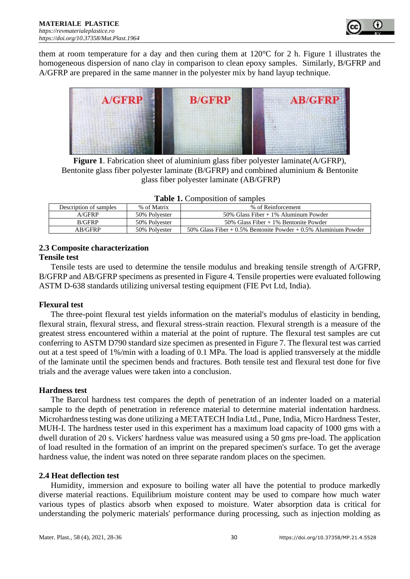

them at room temperature for a day and then curing them at  $120^{\circ}$ C for 2 h. Figure 1 illustrates the homogeneous dispersion of nano clay in comparison to clean epoxy samples. Similarly, B/GFRP and A/GFRP are prepared in the same manner in the polyester mix by hand layup technique.



**Figure 1**. Fabrication sheet of aluminium glass fiber polyester laminate(A/GFRP), Bentonite glass fiber polyester laminate (B/GFRP) and combined aluminium & Bentonite glass fiber polyester laminate (AB/GFRP)

|                        |               | <b>rapic 1.</b> Composition of samples                              |
|------------------------|---------------|---------------------------------------------------------------------|
| Description of samples | % of Matrix   | % of Reinforcement                                                  |
| A/GFRP                 | 50% Polvester | 50% Glass Fiber $+1\%$ Aluminum Powder                              |
| <b>B/GFRP</b>          | 50% Polvester | $50\%$ Glass Fiber + 1% Bentonite Powder                            |
| AB/GFRP                | 50% Polvester | 50% Glass Fiber $+0.5$ % Bentonite Powder $+0.5$ % Aluminium Powder |

| Table 1. Composition of samples |
|---------------------------------|
|---------------------------------|

#### **2.3 Composite characterization**

#### **Tensile test**

Tensile tests are used to determine the tensile modulus and breaking tensile strength of A/GFRP, B/GFRP and AB/GFRP specimens as presented in Figure 4. Tensile properties were evaluated following ASTM D-638 standards utilizing universal testing equipment (FIE Pvt Ltd, India).

#### **Flexural test**

The three-point flexural test yields information on the material's modulus of elasticity in bending, flexural strain, flexural stress, and flexural stress-strain reaction. Flexural strength is a measure of the greatest stress encountered within a material at the point of rupture. The flexural test samples are cut conferring to ASTM D790 standard size specimen as presented in Figure 7. The flexural test was carried out at a test speed of 1%/min with a loading of 0.1 MPa. The load is applied transversely at the middle of the laminate until the specimen bends and fractures. Both tensile test and flexural test done for five trials and the average values were taken into a conclusion.

#### **Hardness test**

The Barcol hardness test compares the depth of penetration of an indenter loaded on a material sample to the depth of penetration in reference material to determine material indentation hardness. Microhardness testing was done utilizing a METATECH India Ltd., Pune, India, Micro Hardness Tester, MUH-I. The hardness tester used in this experiment has a maximum load capacity of 1000 gms with a dwell duration of 20 s. Vickers' hardness value was measured using a 50 gms pre-load. The application of load resulted in the formation of an imprint on the prepared specimen's surface. To get the average hardness value, the indent was noted on three separate random places on the specimen.

### **2.4 Heat deflection test**

Humidity, immersion and exposure to boiling water all have the potential to produce markedly diverse material reactions. Equilibrium moisture content may be used to compare how much water various types of plastics absorb when exposed to moisture. Water absorption data is critical for understanding the polymeric materials' performance during processing, such as injection molding as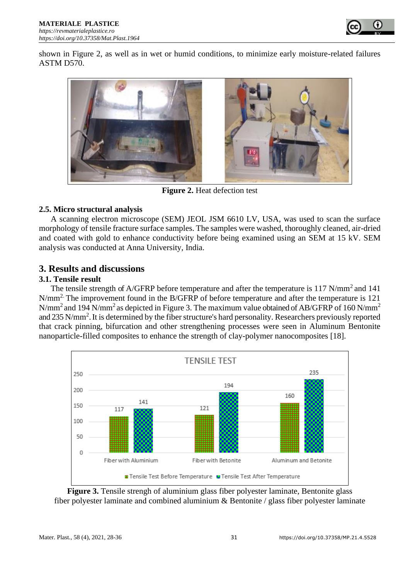

shown in Figure 2, as well as in wet or humid conditions, to minimize early moisture-related failures ASTM D570.



**Figure 2.** Heat defection test

## **2.5. Micro structural analysis**

A scanning electron microscope (SEM) JEOL JSM 6610 LV, USA, was used to scan the surface morphology of tensile fracture surface samples. The samples were washed, thoroughly cleaned, air-dried and coated with gold to enhance conductivity before being examined using an SEM at 15 kV. SEM analysis was conducted at Anna University, India.

# **3. Results and discussions**

## **3.1. Tensile result**

The tensile strength of A/GFRP before temperature and after the temperature is 117 N/mm<sup>2</sup> and 141 N/mm2. The improvement found in the B/GFRP of before temperature and after the temperature is 121 N/mm<sup>2</sup> and 194 N/mm<sup>2</sup> as depicted in Figure 3. The maximum value obtained of AB/GFRP of 160 N/mm<sup>2</sup> and 235 N/mm<sup>2</sup>. It is determined by the fiber structure's hard personality. Researchers previously reported that crack pinning, bifurcation and other strengthening processes were seen in Aluminum Bentonite nanoparticle-filled composites to enhance the strength of clay-polymer nanocomposites [18].



**Figure 3.** Tensile strengh of aluminium glass fiber polyester laminate, Bentonite glass fiber polyester laminate and combined aluminium & Bentonite / glass fiber polyester laminate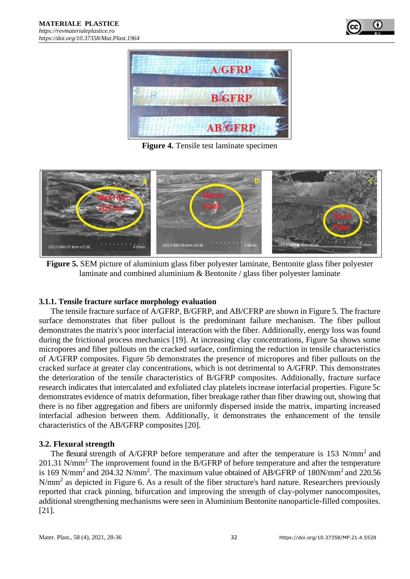



**Figure 4.** Tensile test laminate specimen



**Figure 5.** SEM picture of aluminium glass fiber polyester laminate, Bentonite glass fiber polyester laminate and combined aluminium & Bentonite / glass fiber polyester laminate

### **3.1.1. Tensile fracture surface morphology evaluation**

The tensile fracture surface of A/GFRP, B/GFRP, and AB/CFRP are shown in Figure 5. The fracture surface demonstrates that fiber pullout is the predominant failure mechanism. The fiber pullout demonstrates the matrix's poor interfacial interaction with the fiber. Additionally, energy loss was found during the frictional process mechanics [19]. At increasing clay concentrations, Figure 5a shows some micropores and fiber pullouts on the cracked surface, confirming the reduction in tensile characteristics of A/GFRP composites. Figure 5b demonstrates the presence of micropores and fiber pullouts on the cracked surface at greater clay concentrations, which is not detrimental to A/GFRP. This demonstrates the deterioration of the tensile characteristics of B/GFRP composites. Additionally, fracture surface research indicates that intercalated and exfoliated clay platelets increase interfacial properties. Figure 5c demonstrates evidence of matrix deformation, fiber breakage rather than fiber drawing out, showing that there is no fiber aggregation and fibers are uniformly dispersed inside the matrix, imparting increased interfacial adhesion between them. Additionally, it demonstrates the enhancement of the tensile characteristics of the AB/GFRP composites [20].

### **3.2. Flexural strength**

The flexural strength of A/GFRP before temperature and after the temperature is 153 N/mm<sup>2</sup> and 201.31 N/mm<sup>2.</sup> The improvement found in the B/GFRP of before temperature and after the temperature is 169 N/mm<sup>2</sup> and 204.32 N/mm<sup>2</sup>. The maximum value obtained of AB/GFRP of 180N/mm<sup>2</sup> and 220.56 N/mm<sup>2</sup> as depicted in Figure 6. As a result of the fiber structure's hard nature. Researchers previously reported that crack pinning, bifurcation and improving the strength of clay-polymer nanocomposites, additional strengthening mechanisms were seen in Aluminium Bentonite nanoparticle-filled composites. [21].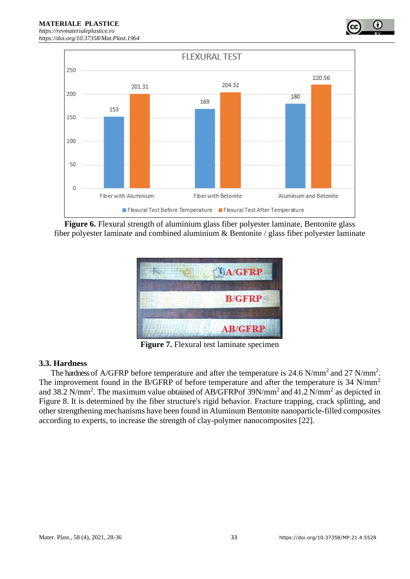

**Figure 6.** Flexural strength of aluminium glass fiber polyester laminate, Bentonite glass fiber polyester laminate and combined aluminium & Bentonite / glass fiber polyester laminate



**Figure 7.** Flexural test laminate specimen

### **3.3. Hardness**

The hardness of A/GFRP before temperature and after the temperature is 24.6 N/mm<sup>2</sup> and 27 N/mm<sup>2</sup>. The improvement found in the B/GFRP of before temperature and after the temperature is 34 N/mm<sup>2</sup> and 38.2 N/mm<sup>2</sup>. The maximum value obtained of AB/GFRPof 39N/mm<sup>2</sup> and 41.2 N/mm<sup>2</sup> as depicted in Figure 8. It is determined by the fiber structure's rigid behavior. Fracture trapping, crack splitting, and other strengthening mechanisms have been found in Aluminum Bentonite nanoparticle-filled composites according to experts, to increase the strength of clay-polymer nanocomposites [22].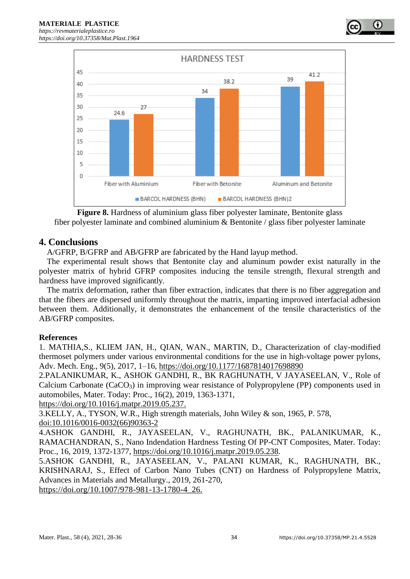

**Figure 8.** Hardness of aluminium glass fiber polyester laminate, Bentonite glass fiber polyester laminate and combined aluminium & Bentonite / glass fiber polyester laminate

## **4. Conclusions**

A/GFRP, B/GFRP and AB/GFRP are fabricated by the Hand layup method.

The experimental result shows that Bentonite clay and aluminum powder exist naturally in the polyester matrix of hybrid GFRP composites inducing the tensile strength, flexural strength and hardness have improved significantly.

The matrix deformation, rather than fiber extraction, indicates that there is no fiber aggregation and that the fibers are dispersed uniformly throughout the matrix, imparting improved interfacial adhesion between them. Additionally, it demonstrates the enhancement of the tensile characteristics of the AB/GFRP composites.

## **References**

1. MATHIA,S., KLIEM JAN, H., QIAN, WAN., MARTIN, D., Characterization of clay-modified thermoset polymers under various environmental conditions for the use in high-voltage power pylons, Adv. Mech. Eng., 9(5), 2017, 1–16, [https://doi.org/10.1177/1687814017698890](https://doi.org/10.1177%2F1687814017698890)

2.PALANIKUMAR, K., ASHOK GANDHI, R., BK RAGHUNATH, V JAYASEELAN, V., Role of Calcium Carbonate (CaCO<sub>3</sub>) in improving wear resistance of Polypropylene (PP) components used in automobiles, Mater. Today: Proc., 16(2), 2019, 1363-1371,

[https://doi.org/10.1016/j.matpr.2019.05.237.](https://doi.org/10.1016/j.matpr.2019.05.237)

3.KELLY, A., TYSON, W.R., High strength materials, John Wiley & son, 1965, P. 578,

doi[:10.1016/0016-0032\(66\)90363-2](https://doi.org/10.1016/0016-0032%2866%2990363-2)

4.ASHOK GANDHI, R., JAYASEELAN, V., RAGHUNATH, BK., PALANIKUMAR, K., RAMACHANDRAN, S., Nano Indendation Hardness Testing Of PP-CNT Composites, Mater. Today: Proc., 16, 2019, 1372-1377, [https://doi.org/10.1016/j.matpr.2019.05.238.](https://doi.org/10.1016/j.matpr.2019.05.238)

5.ASHOK GANDHI, R., JAYASEELAN, V., PALANI KUMAR, K., RAGHUNATH, BK., KRISHNARAJ, S., Effect of Carbon Nano Tubes (CNT) on Hardness of Polypropylene Matrix, Advances in Materials and Metallurgy., 2019, 261-270,

[https://doi.org/10.1007/978-981-13-1780-4\\_26.](https://doi.org/10.1007/978-981-13-1780-4_26)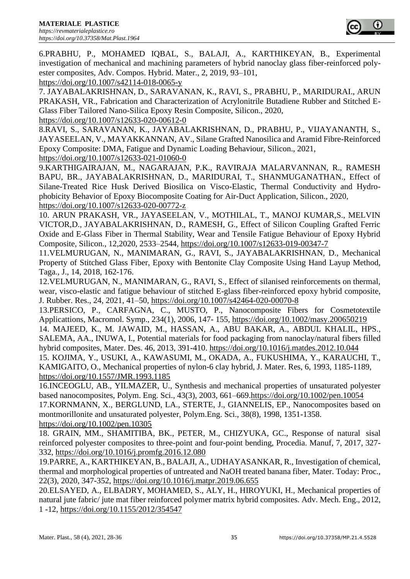

6.PRABHU, P., MOHAMED IQBAL, S., BALAJI, A., KARTHIKEYAN, B., Experimental investigation of mechanical and machining parameters of hybrid nanoclay glass fiber-reinforced polyester composites, Adv. Compos. Hybrid. Mater., 2, 2019, 93–101,

https://doi.org/10.1007/s42114-018-0065-y

7. JAYABALAKRISHNAN, D., SARAVANAN, K., RAVI, S., PRABHU, P., MARIDURAI., ARUN PRAKASH, VR., Fabrication and Characterization of Acrylonitrile Butadiene Rubber and Stitched E-Glass Fiber Tailored Nano-Silica Epoxy Resin Composite, Silicon., 2020,

<https://doi.org/10.1007/s12633-020-00612-0>

8.RAVI, S., SARAVANAN, K., JAYABALAKRISHNAN, D., PRABHU, P., VIJAYANANTH, S., JAYASEELAN, V., MAYAKKANNAN, AV., Silane Grafted Nanosilica and Aramid Fibre-Reinforced Epoxy Composite: DMA, Fatigue and Dynamic Loading Behaviour, Silicon., 2021, <https://doi.org/10.1007/s12633-021-01060-0>

9.KARTHIGAIRAJAN, M., NAGARAJAN, P.K., RAVIRAJA MALARVANNAN, R., RAMESH BAPU, BR., JAYABALAKRISHNAN, D., MARIDURAI, T., SHANMUGANATHAN., Effect of Silane-Treated Rice Husk Derived Biosilica on Visco-Elastic, Thermal Conductivity and Hydrophobicity Behavior of Epoxy Biocomposite Coating for Air-Duct Application, Silicon., 2020, <https://doi.org/10.1007/s12633-020-00772-z>

10. ARUN PRAKASH, VR., JAYASEELAN, V., MOTHILAL, T., MANOJ KUMAR,S., MELVIN VICTOR,D., JAYABALAKRISHNAN, D., RAMESH, G., Effect of Silicon Coupling Grafted Ferric Oxide and E-Glass Fiber in Thermal Stability, Wear and Tensile Fatigue Behaviour of Epoxy Hybrid Composite, Silicon., 12,2020, 2533–2544, [https://doi.org/10.1007/s12633-019-00347-7](https://doi.org/10.1007/s12633-019-00347-7/)

11.VELMURUGAN, N., MANIMARAN, G., RAVI, S., JAYABALAKRISHNAN, D., Mechanical Property of Stitched Glass Fiber, Epoxy with Bentonite Clay Composite Using Hand Layup Method, Taga., J., 14, 2018, 162-176.

12.VELMURUGAN, N., MANIMARAN, G., RAVI, S., Effect of silanised reinforcements on thermal, wear, visco-elastic and fatigue behaviour of stitched E-glass fiber-reinforced epoxy hybrid composite, J. Rubber. Res., 24, 2021, 41–50,<https://doi.org/10.1007/s42464-020-00070-8>

13.PERSICO, P., CARFAGNA, C., MUSTO, P., Nanocomposite Fibers for Cosmetotextile Applicattions, Macromol. Symp., 234(1), 2006, 147- 155,<https://doi.org/10.1002/masy.200650219>

14. MAJEED, K., M. JAWAID, M., HASSAN, A., ABU BAKAR, A., ABDUL KHALIL, HPS., SALEMA, AA., INUWA, I., Potential materials for food packaging from nanoclay/natural fibers filled hybrid composites, Mater. Des. 46, 2013, 391-410.<https://doi.org/10.1016/j.matdes.2012.10.044>

15. KOJIMA, Y., USUKI, A., KAWASUMI, M., OKADA, A., FUKUSHIMA, Y., KARAUCHI, T., KAMIGAITO, O., Mechanical properties of nylon-6 clay hybrid, J. Mater. Res, 6, 1993, 1185-1189, https://doi.org/10.1557/JMR.1993.1185

16.INCEOGLU, AB., YILMAZER, U., Synthesis and mechanical properties of unsaturated polyester based nanocomposites, Polym. Eng. Sci., 43(3), 2003, 661–669[.https://doi.org/10.1002/pen.10054](https://doi.org/10.1002/pen.10054)

17.KORNMANN, X., BERGLUND, LA., STERTE, J., GIANNELIS, EP., Nanocomposites based on montmorillonite and unsaturated polyester, Polym.Eng. Sci., 38(8), 1998, 1351-1358. <https://doi.org/10.1002/pen.10305>

18. [GRAIN, MM., SHAMITIBA, BK., PETER, M.,](https://www.sciencedirect.com/science/article/pii/S2351978916302438#!) [CHIZYUKA, GC.](https://www.sciencedirect.com/science/article/pii/S2351978916302438#!), Response of natural sisal reinforced polyester composites to three-point and four-point bending, Procedia. Manuf, 7, 2017, 327- 332,<https://doi.org/10.1016/j.promfg.2016.12.080>

19.PARRE, A., KARTHIKEYAN, B., BALAJI, A., UDHAYASANKAR, R., Investigation of chemical, thermal and morphological properties of untreated and NaOH treated banana fiber, Mater. Today: Proc., 22(3), 2020, 347-352, <https://doi.org/10.1016/j.matpr.2019.06.655>

20.ELSAYED, A., ELBADRY, MOHAMED, S., ALY, H., HIROYUKI, H., Mechanical properties of natural jute fabric/ jute mat fiber reinforced polymer matrix hybrid composites. Adv. Mech. Eng., 2012, 1 -12, [https://doi.org/10.1155/2012/354547](https://doi.org/10.1155%2F2012%2F354547)